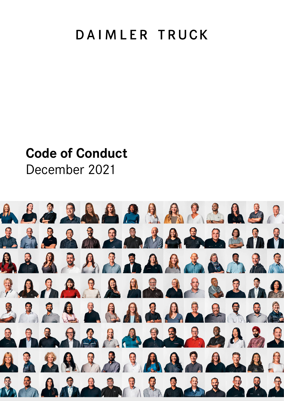# DAIMLER TRUCK

# **Code of Conduct**

December 2021

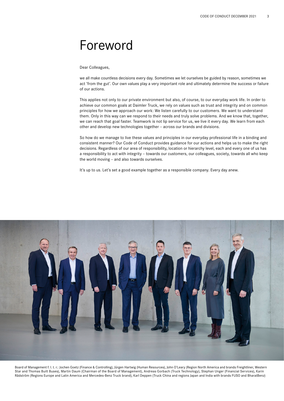# Foreword

Dear Colleagues,

we all make countless decisions every day. Sometimes we let ourselves be guided by reason, sometimes we act 'from the gut'. Our own values play a very important role and ultimately determine the success or failure of our actions.

This applies not only to our private environment but also, of course, to our everyday work life. In order to achieve our common goals at Daimler Truck, we rely on values such as trust and integrity and on common principles for how we approach our work: We listen carefully to our customers. We want to understand them. Only in this way can we respond to their needs and truly solve problems. And we know that, together, we can reach that goal faster. Teamwork is not lip service for us, we live it every day. We learn from each other and develop new technologies together – across our brands and divisions.

So how do we manage to live these values and principles in our everyday professional life in a binding and consistent manner? Our Code of Conduct provides guidance for our actions and helps us to make the right decisions. Regardless of our area of responsibility, location or hierarchy level, each and every one of us has a responsibility to act with integrity – towards our customers, our colleagues, society, towards all who keep the world moving – and also towards ourselves.

It's up to us. Let's set a good example together as a responsible company. Every day anew.



Board of Management f. l. t. r.: Jochen Goetz (Finance & Controlling), Jürgen Hartwig (Human Resources), John O'Leary (Region North America and brands Freightliner, Western Star and Thomas Built Buses), Martin Daum (Chairman of the Board of Management), Andreas Gorbach (Truck Technology), Stephan Unger (Financial Services), Karin Rådström (Regions Europe and Latin America and Mercedes-Benz Truck brand), Karl Deppen (Truck China and regions Japan and India with brands FUSO and BharatBenz)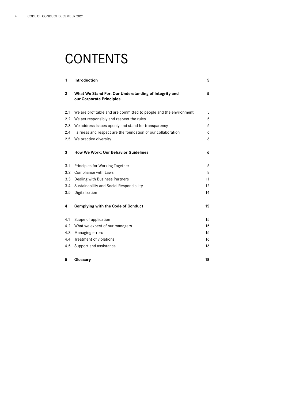# **CONTENTS**

| 1            | Introduction                                                                      | 5  |
|--------------|-----------------------------------------------------------------------------------|----|
| $\mathbf{2}$ | What We Stand For: Our Understanding of Integrity and<br>our Corporate Principles | 5  |
| 2.1          | We are profitable and are committed to people and the environment                 | 5  |
| 2.2          | We act responsibly and respect the rules                                          | 5  |
| 2.3          | We address issues openly and stand for transparency                               | 6  |
| 2.4          | Fairness and respect are the foundation of our collaboration                      | 6  |
| 2.5          | We practice diversity                                                             | 6  |
| 3            | How We Work: Our Behavior Guidelines                                              | 6  |
| 3.1          | Principles for Working Together                                                   | 6  |
| 3.2          | <b>Compliance with Laws</b>                                                       | 8  |
| 3.3          | Dealing with Business Partners                                                    | 11 |
| 3.4          | Sustainability and Social Responsibility                                          | 12 |
| 3.5          | Digitalization                                                                    | 14 |
| 4            | <b>Complying with the Code of Conduct</b>                                         | 15 |
| 4.1          | Scope of application                                                              | 15 |
| 4.2          | What we expect of our managers                                                    | 15 |
| 4.3          | Managing errors                                                                   | 15 |
| 4.4          | Treatment of violations                                                           | 16 |
| 4.5          | Support and assistance                                                            | 16 |
| 5            | Glossary                                                                          | 18 |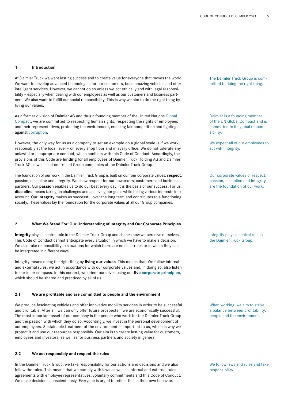#### **1 Introduction**

At Daimler Truck we want lasting success and to create value for everyone that moves the world. We want to develop advanced technologies for our customers, build amazing vehicles and offer intelligent services. However, we cannot do so unless we act ethically and with legal responsibility – especially when dealing with our employees as well as our customers and business partners. We also want to fulfill our social responsibility. This is why we aim to do the right thing by living our values.

As a former division of Daimler AG and thus a founding member of the United Nations Global Compact, we are committed to respecting human rights, respecting the rights of employees and their representatives, protecting the environment, enabling fair competition and fighting against corruption.

However, the only way for us as a company to set an example on a global scale is if we work responsibly at the local level – on every shop floor and in every office. We do not tolerate any unlawful or inappropriate conduct, which conflicts with this Code of Conduct. Accordingly, the provisions of this Code are **binding** for all employees of Daimler Truck Holding AG and Daimler Truck AG as well as at controlled Group companies of the Daimler Truck Group.

The foundation of our work in the Daimler Truck Group is built on our four corporate values: **respect**, passion, discipline and integrity. We show respect for our coworkers, customers and business partners. Our **passion** enables us to do our best every day; it is the basis of our success. For us, **discipline** means taking on challenges and achieving our goals while taking various interests into account. Our **integrity** makes us successful over the long term and contributes to a functioning society. These values lay the foundation for the corporate values at all our Group companies.

#### **2 What We Stand For: Our Understanding of Integrity and Our Corporate Principles**

**Integrity** plays a central role in the Daimler Truck Group and shapes how we perceive ourselves. This Code of Conduct cannot anticipate every situation in which we have to make a decision. We also take responsibility in situations for which there are no clear rules or in which they can be interpreted in different ways.

Integrity means doing the right thing by **living our values**. This means that: We follow internal and external rules, we act in accordance with our corporate values and, in doing so, also listen to our inner compass. In this context, we orient ourselves using our **five corporate principles**, which should be shared and practiced by all of us.

#### **2.1 We are profitable and are committed to people and the environment**

We produce fascinating vehicles and offer innovative mobility services in order to be successful and profitable. After all, we can only offer future prospects if we are economically successful. The most important asset of our company is the people who work for the Daimler Truck Group and the passion with which they do so. Accordingly, we invest in the personal development of our employees. Sustainable treatment of the environment is important to us, which is why we protect it and use our resources responsibly. Our aim is to create lasting value for customers, employees and investors, as well as for business partners and society in general.

# **2.2 We act responsibly and respect the rules**

In the Daimler Truck Group, we take responsibility for our actions and decisions and we also follow the rules. This means that we comply with laws as well as internal and external rules, agreements with employee representatives, voluntary commitments and this Code of Conduct. We make decisions conscientiously. Everyone is urged to reflect this in their own behavior.

The Daimler Truck Group is committed to doing the right thing.

Daimler is a founding member of the UN Global Compact and is committed to its global responsibility.

We expect all of our employees to act with integrity.

Our corporate values of respect, passion, discipline and integrity are the foundation of our work.

Integrity plays a central role in the Daimler Truck Group.

When working, we aim to strike a balance between profitability, people and the environment.

We follow laws and rules and take responsibility.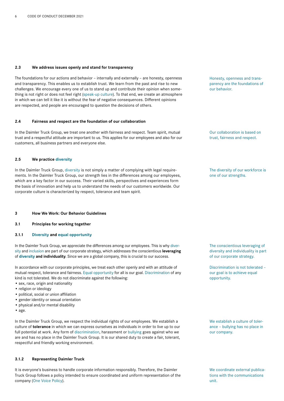# **2.3 We address issues openly and stand for transparency**

The foundations for our actions and behavior – internally and externally – are honesty, openness and transparency. This enables us to establish trust. We learn from the past and rise to new challenges. We encourage every one of us to stand up and contribute their opinion when something is not right or does not feel right (speak-up culture). To that end, we create an atmosphere in which we can tell it like it is without the fear of negative consequences. Different opinions are respected, and people are encouraged to question the decisions of others.

#### **2.4 Fairness and respect are the foundation of our collaboration**

In the Daimler Truck Group, we treat one another with fairness and respect. Team spirit, mutual trust and a respectful attitude are important to us. This applies for our employees and also for our customers, all business partners and everyone else.

# **2.5 We practice diversity**

In the Daimler Truck Group, diversity is not simply a matter of complying with legal requirements. In the Daimler Truck Group, our strength lies in the differences among our employees, which are a key factor in our success. Their varied skills, perspectives and experiences form the basis of innovation and help us to understand the needs of our customers worldwide. Our corporate culture is characterized by respect, tolerance and team spirit.

# **3 How We Work: Our Behavior Guidelines**

**3.1 Principles for working together**

#### **3.1.1 Diversity and equal opportunity**

In the Daimler Truck Group, we appreciate the differences among our employees. This is why diversity and inclusion are part of our corporate strategy, which addresses the conscientious **leveraging** of **diversity and individuality**. Since we are a global company, this is crucial to our success.

In accordance with our corporate principles, we treat each other openly and with an attitude of mutual respect, tolerance and fairness. Equal opportunity for all is our goal. Discrimination of any kind is not tolerated. We do not discriminate against the following:

- sex, race, origin and nationality
- religion or ideology
- political, social or union affiliation
- gender identity or sexual orientation
- physical and/or mental disability
- age.

In the Daimler Truck Group, we respect the individual rights of our employees. We establish a culture of **tolerance** in which we can express ourselves as individuals in order to live up to our full potential at work. Any form of discrimination, harassment or bullying goes against who we are and has no place in the Daimler Truck Group. It is our shared duty to create a fair, tolerant, respectful and friendly working environment.

### **3.1.2 Representing Daimler Truck**

It is everyone's business to handle corporate information responsibly. Therefore, the Daimler Truck Group follows a policy intended to ensure coordinated and uniform representation of the company (One Voice Policy).

Honesty, openness and transparency are the foundations of our behavior.

Our collaboration is based on trust, fairness and respect.

The diversity of our workforce is one of our strengths.

The conscientious leveraging of diversity and individuality is part of our corporate strategy.

Discrimination is not tolerated – our goal is to achieve equal opportunity.

We establish a culture of tolerance – bullying has no place in our company.

We coordinate external publications with the communications unit.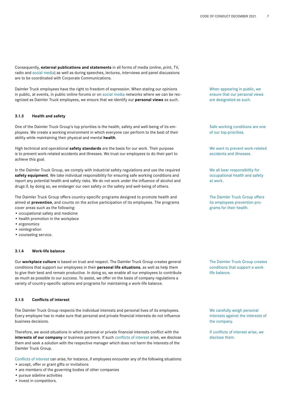Consequently, **external publications and statements** in all forms of media (online, print, TV, radio and social media) as well as during speeches, lectures, interviews and panel discussions are to be coordinated with Corporate Communications.

Daimler Truck employees have the right to freedom of expression. When stating our opinions in public, at events, in public online forums or on social media networks where we can be recognized as Daimler Truck employees, we ensure that we identify our **personal views** as such.

#### **3.1.3 Health and safety**

One of the Daimler Truck Group's top priorities is the health, safety and well-being of its employees. We create a working environment in which everyone can perform to the best of their ability while maintaining their physical and mental **health**.

High technical and operational **safety standards** are the basis for our work. Their purpose is to prevent work-related accidents and illnesses. We trust our employees to do their part to achieve this goal.

In the Daimler Truck Group, we comply with industrial safety regulations and use the required **safety equipment**. We take individual responsibility for ensuring safe working conditions and report any potential health and safety risks. We do not work under the influence of alcohol and drugs if, by doing so, we endanger our own safety or the safety and well-being of others.

The Daimler Truck Group offers country-specific programs designed to promote health and aimed at **prevention**, and counts on the active participation of its employees. The programs cover areas such as the following:

- occupational safety and medicine
- health promotion in the workplace
- ergonomics
- reintegration
- counseling service.

#### **3.1.4 Work-life balance**

Our **workplace culture** is based on trust and respect. The Daimler Truck Group creates general conditions that support our employees in their **personal life situations**, as well as help them to give their best and remain productive. In doing so, we enable all our employees to contribute as much as possible to our success. To assist, we offer on the basis of company regulations a variety of country-specific options and programs for maintaining a work-life balance.

# **3.1.5 Conflicts of interest**

The Daimler Truck Group respects the individual interests and personal lives of its employees. Every employee has to make sure that personal and private financial interests do not influence business decisions.

Therefore, we avoid situations in which personal or private financial interests conflict with the **interests of our company** or business partners. If such conflicts of interest arise, we disclose them and seek a solution with the respective manager which does not harm the interests of the Daimler Truck Group.

Conflicts of interest can arise, for instance, if employees encounter any of the following situations:

- accept, offer or grant gifts or invitations
- are members of the governing bodies of other companies
- pursue sideline activities
- invest in competitors.

When appearing in public, we ensure that our personal views are designated as such.

Safe working conditions are one of our top priorities.

We want to prevent work-related accidents and illnesses.

We all bear responsibility for occupational health and safety at work.

The Daimler Truck Group offers its employees prevention programs for their health.

The Daimler Truck Group creates conditions that support a worklife balance.

We carefully weigh personal interests against the interests of the company.

If conflicts of interest arise, we disclose them.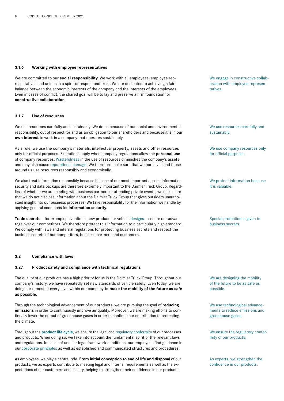### **3.1.6 Working with employee representatives**

We are committed to our **social responsibility**. We work with all employees, employee representatives and unions in a spirit of respect and trust. We are dedicated to achieving a fair balance between the economic interests of the company and the interests of the employees. Even in cases of conflict, the shared goal will be to lay and preserve a firm foundation for **constructive collaboration**.

#### **3.1.7 Use of resources**

We use resources carefully and sustainably. We do so because of our social and environmental responsibility, out of respect for and as an obligation to our shareholders and because it is in our **own interest** to work in a company that operates sustainably.

As a rule, we use the company's materials, intellectual property, assets and other resources only for official purposes. Exceptions apply when company regulations allow the **personal use** of company resources. Wastefulness in the use of resources diminishes the company's assets and may also cause reputational damage. We therefore make sure that we ourselves and those around us use resources responsibly and economically.

We also treat information responsibly because it is one of our most important assets. Information security and data backups are therefore extremely important to the Daimler Truck Group. Regardless of whether we are meeting with business partners or attending private events, we make sure that we do not disclose information about the Daimler Truck Group that gives outsiders unauthorized insight into our business processes. We take responsibility for the information we handle by applying general conditions for **information security**.

**Trade secrets** – for example, inventions, new products or vehicle designs – secure our advantage over our competitors. We therefore protect this information to a particularly high standard. We comply with laws and internal regulations for protecting business secrets and respect the business secrets of our competitors, business partners and customers.

#### **3.2 Compliance with laws**

#### **3.2.1 Product safety and compliance with technical regulations**

The quality of our products has a high priority for us in the Daimler Truck Group. Throughout our company's history, we have repeatedly set new standards of vehicle safety. Even today, we are doing our utmost at every level within our company **to make the mobility of the future as safe as possible**.

Through the technological advancement of our products, we are pursuing the goal of **reducing emissions** in order to continuously improve air quality. Moreover, we are making efforts to continually lower the output of greenhouse gases in order to continue our contribution to protecting the climate.

Throughout the **product life cycle**, we ensure the legal and regulatory conformity of our processes and products. When doing so, we take into account the fundamental spirit of the relevant laws and regulations. In cases of unclear legal framework conditions, our employees find guidance in our corporate principles as well as established and communicated structures and procedures.

As employees, we play a central role. **From initial conception to end of life and disposa**l of our products, we as experts contribute to meeting legal and internal requirements as well as the expectations of our customers and society, helping to strengthen their confidence in our products.

We engage in constructive collaboration with employee representatives.

We use resources carefully and sustainably.

We use company resources only for official purposes.

We protect information because it is valuable.

Special protection is given to business secrets.

We are designing the mobility of the future to be as safe as possible.

We use technological advancements to reduce emissions and greenhouse gases.

We ensure the regulatory conformity of our products.

As experts, we strengthen the confidence in our products.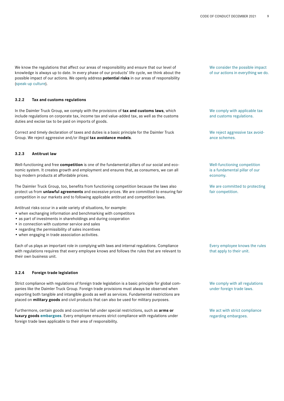We know the regulations that affect our areas of responsibility and ensure that our level of knowledge is always up to date. In every phase of our products' life cycle, we think about the possible impact of our actions. We openly address **potential risks** in our areas of responsibility (speak-up culture).

#### **3.2.2 Tax and customs regulations**

In the Daimler Truck Group, we comply with the provisions of **tax and customs laws**, which include regulations on corporate tax, income tax and value-added tax, as well as the customs duties and excise tax to be paid on imports of goods.

Correct and timely declaration of taxes and duties is a basic principle for the Daimler Truck Group. We reject aggressive and/or illegal **tax avoidance models**.

# **3.2.3 Antitrust law**

Well-functioning and free **competition** is one of the fundamental pillars of our social and economic system. It creates growth and employment and ensures that, as consumers, we can all buy modern products at affordable prices.

The Daimler Truck Group, too, benefits from functioning competition because the laws also protect us from **unlawful agreements** and excessive prices. We are committed to ensuring fair competition in our markets and to following applicable antitrust and competition laws.

Antitrust risks occur in a wide variety of situations, for example:

- when exchanging information and benchmarking with competitors
- as part of investments in shareholdings and during cooperation
- in connection with customer service and sales
- regarding the permissibility of sales incentives
- when engaging in trade association activities.

Each of us plays an important role in complying with laws and internal regulations. Compliance with regulations requires that every employee knows and follows the rules that are relevant to their own business unit.

# **3.2.4 Foreign trade legislation**

Strict compliance with regulations of foreign trade legislation is a basic principle for global companies like the Daimler Truck Group. Foreign trade provisions must always be observed when exporting both tangible and intangible goods as well as services. Fundamental restrictions are placed on **military goods** and civil products that can also be used for military purposes.

Furthermore, certain goods and countries fall under special restrictions, such as **arms or luxury goods embargoes**. Every employee ensures strict compliance with regulations under foreign trade laws applicable to their area of responsibility.

We consider the possible impact of our actions in everything we do.

We comply with applicable tax and customs regulations.

We reject aggressive tax avoidance schemes.

Well-functioning competition is a fundamental pillar of our economy.

We are committed to protecting fair competition.

Every employee knows the rules that apply to their unit.

We comply with all regulations under foreign trade laws.

We act with strict compliance regarding embargoes.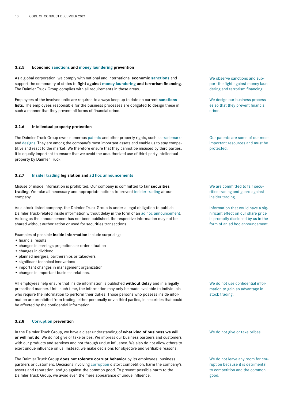# **3.2.5 Economic sanctions and money laundering prevention**

As a global corporation, we comply with national and international **economic sanctions** and support the community of states to **fight against money laundering and terrorism financing**. The Daimler Truck Group complies with all requirements in these areas.

Employees of the involved units are required to always keep up to date on current **sanctions lists**. The employees responsible for the business processes are obligated to design these in such a manner that they prevent all forms of financial crime.

#### **3.2.6 Intellectual property protection**

The Daimler Truck Group owns numerous patents and other property rights, such as trademarks and designs. They are among the company's most important assets and enable us to stay competitive and react to the market. We therefore ensure that they cannot be misused by third parties. It is equally important to ensure that we avoid the unauthorized use of third-party intellectual property by Daimler Truck.

# **3.2.7 Insider trading legislation and ad hoc announcements**

Misuse of inside information is prohibited. Our company is committed to fair **securities trading**. We take all necessary and appropriate actions to prevent insider trading at our company.

As a stock-listed company, the Daimler Truck Group is under a legal obligation to publish Daimler Truck-related inside information without delay in the form of an ad hoc announcement. As long as the announcement has not been published, the respective information may not be shared without authorization or used for securities transactions.

Examples of possible **inside information** include surprising:

- financial results
- changes in earnings projections or order situation
- changes in dividend
- planned mergers, partnerships or takeovers
- significant technical innovations
- important changes in management organization
- changes in important business relations.

All employees help ensure that inside information is published **without delay** and in a legally prescribed manner. Until such time, the information may only be made available to individuals who require the information to perform their duties. Those persons who possess inside information are prohibited from trading, either personally or via third parties, in securities that could be affected by the confidential information.

# **3.2.8 Corruption prevention**

In the Daimler Truck Group, we have a clear understanding of **what kind of business we will or will not do**. We do not give or take bribes. We impress our business partners and customers with our products and services and not through undue influence. We also do not allow others to exert undue influence on us. Instead, we make decisions for objective and verifiable reasons.

The Daimler Truck Group **does not tolerate corrupt behavior** by its employees, business partners or customers. Decisions involving corruption distort competition, harm the company's assets and reputation, and go against the common good. To prevent possible harm to the Daimler Truck Group, we avoid even the mere appearance of undue influence.

We observe sanctions and support the fight against money laundering and terrorism financing.

We design our business processes so that they prevent financial crime.

Our patents are some of our most important resources and must be protected.

We are committed to fair securities trading and guard against insider trading.

Information that could have a significant effect on our share price is promptly disclosed by us in the form of an ad hoc announcement.

We do not use confidential information to gain an advantage in stock trading.

We do not give or take bribes.

We do not leave any room for corruption because it is detrimental to competition and the common good.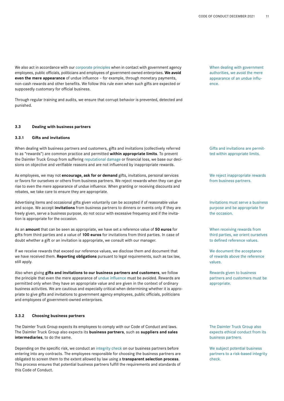We also act in accordance with our corporate principles when in contact with government agency employees, public officials, politicians and employees of government-owned enterprises. **We avoid even the mere appearance** of undue influence – for example, through monetary payments, non-cash rewards and other benefits. We follow this rule even when such gifts are expected or supposedly customary for official business.

Through regular training and audits, we ensure that corrupt behavior is prevented, detected and punished.

#### **3.3 Dealing with business partners**

### **3.3.1 Gifts and invitations**

When dealing with business partners and customers, gifts and invitations (collectively referred to as "rewards") are common practice and permitted **within appropriate limits**. To prevent the Daimler Truck Group from suffering reputational damage or financial loss, we base our decisions on objective and verifiable reasons and are not influenced by inappropriate rewards.

As employees, we may not **encourage, ask for or demand** gifts, invitations, personal services or favors for ourselves or others from business partners. We reject rewards when they can give rise to even the mere appearance of undue influence. When granting or receiving discounts and rebates, we take care to ensure they are appropriate.

Advertising items and occasional gifts given voluntarily can be accepted if of reasonable value and scope. We accept **invitations** from business partners to dinners or events only if they are freely given, serve a business purpose, do not occur with excessive frequency and if the invitation is appropriate for the occasion.

As an **amount** that can be seen as appropriate, we have set a reference value of **50 euros** for gifts from third parties and a value of **100 euros** for invitations from third parties. In case of doubt whether a gift or an invitation is appropriate, we consult with our manager.

If we receive rewards that exceed our reference values, we disclose them and document that we have received them. **Reporting obligations** pursuant to legal requirements, such as tax law, still apply.

Also when giving **gifts and invitations to our business partners and customers**, we follow the principle that even the mere appearance of undue influence must be avoided. Rewards are permitted only when they have an appropriate value and are given in the context of ordinary business activities. We are cautious and especially critical when determining whether it is appropriate to give gifts and invitations to government agency employees, public officials, politicians and employees of government-owned enterprises.

# **3.3.2 Choosing business partners**

The Daimler Truck Group expects its employees to comply with our Code of Conduct and laws. The Daimler Truck Group also expects its **business partners**, such as **suppliers and sales intermediaries**, to do the same.

Depending on the specific risk, we conduct an integrity check on our business partners before entering into any contracts. The employees responsible for choosing the business partners are obligated to screen them to the extent allowed by law using a **transparent selection process**. This process ensures that potential business partners fulfill the requirements and standards of this Code of Conduct.

When dealing with government authorities, we avoid the mere appearance of an undue influence.

Gifts and invitations are permitted within appropriate limits.

We reject inappropriate rewards from business partners.

Invitations must serve a business purpose and be appropriate for the occasion.

When receiving rewards from third parties, we orient ourselves to defined reference values.

We document the acceptance of rewards above the reference values.

Rewards given to business partners and customers must be appropriate.

The Daimler Truck Group also expects ethical conduct from its business partners.

We subject potential business partners to a risk-based integrity check.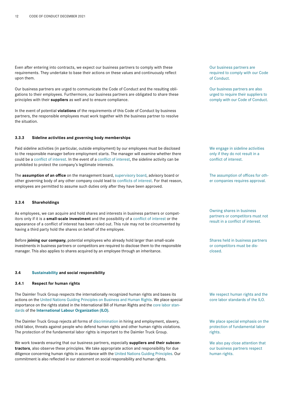Even after entering into contracts, we expect our business partners to comply with these requirements. They undertake to base their actions on these values and continuously reflect upon them.

Our business partners are urged to communicate the Code of Conduct and the resulting obligations to their employees. Furthermore, our business partners are obligated to share these principles with their **suppliers** as well and to ensure compliance.

In the event of potential **violations** of the requirements of this Code of Conduct by business partners, the responsible employees must work together with the business partner to resolve the situation.

#### **3.3.3 Sideline activities and governing body memberships**

Paid sideline activities (in particular, outside employment) by our employees must be disclosed to the responsible manager before employment starts. The manager will examine whether there could be a conflict of interest. In the event of a conflict of interest, the sideline activity can be prohibited to protect the company's legitimate interests.

The **assumption of an office** on the management board, supervisory board, advisory board or other governing body of any other company could lead to conflicts of interest. For that reason, employees are permitted to assume such duties only after they have been approved.

# **3.3.4 Shareholdings**

As employees, we can acquire and hold shares and interests in business partners or competitors only if it is a **small-scale investment** and the possibility of a conflict of interest or the appearance of a conflict of interest has been ruled out. This rule may not be circumvented by having a third party hold the shares on behalf of the employee.

Before **joining our company**, potential employees who already hold larger than small-scale investments in business partners or competitors are required to disclose them to the responsible manager. This also applies to shares acquired by an employee through an inheritance.

# **3.4 Sustainability and social responsibility**

#### **3.4.1 Respect for human rights**

The Daimler Truck Group respects the internationally recognized human rights and bases its actions on the United Nations Guiding Principles on Business and Human Rights. We place special importance on the rights stated in the International Bill of Human Rights and the core labor standards of the **International Labour Organization (ILO)**.

The Daimler Truck Group rejects all forms of discrimination in hiring and employment, slavery, child labor, threats against people who defend human rights and other human rights violations. The protection of the fundamental labor rights is important to the Daimler Truck Group.

We work towards ensuring that our business partners, especially **suppliers and their subcontractors**, also observe these principles. We take appropriate action and responsibility for due diligence concerning human rights in accordance with the United Nations Guiding Principles. Our commitment is also reflected in our statement on social responsibility and human rights.

Our business partners are required to comply with our Code of Conduct.

Our business partners are also urged to require their suppliers to comply with our Code of Conduct.

We engage in sideline activities only if they do not result in a conflict of interest.

The assumption of offices for other companies requires approval.

Owning shares in business partners or competitors must not result in a conflict of interest.

Shares held in business partners or competitors must be disclosed.

We respect human rights and the core labor standards of the ILO.

We place special emphasis on the protection of fundamental labor rights.

We also pay close attention that our business partners respect human rights.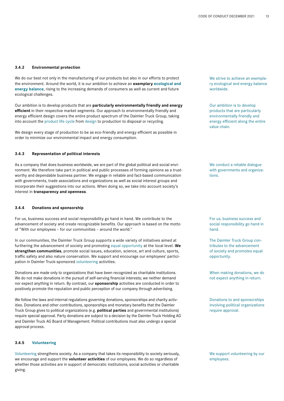# **3.4.2 Environmental protection**

We do our best not only in the manufacturing of our products but also in our efforts to protect the environment. Around the world, it is our ambition to achieve an **exemplary ecological and energy balance**, rising to the increasing demands of consumers as well as current and future ecological challenges.

Our ambition is to develop products that are **particularly environmentally friendly and energy efficient** in their respective market segments. Our approach to environmentally friendly and energy efficient design covers the entire product spectrum of the Daimler Truck Group, taking into account the product life cycle from design to production to disposal or recycling.

We design every stage of production to be as eco-friendly and energy efficient as possible in order to minimize our environmental impact and energy consumption.

# **3.4.3 Representation of political interests**

As a company that does business worldwide, we are part of the global political and social environment. We therefore take part in political and public processes of forming opinions as a trustworthy and dependable business partner. We engage in reliable and fact-based communication with governments, trade associations and organizations as well as social interest groups and incorporate their suggestions into our actions. When doing so, we take into account society's interest in **transparency and openness**.

# **3.4.4 Donations and sponsorship**

For us, business success and social responsibility go hand in hand. We contribute to the advancement of society and create recognizable benefits. Our approach is based on the motto of "With our employees – for our communities – around the world."

In our communities, the Daimler Truck Group supports a wide variety of initiatives aimed at furthering the advancement of society and promoting equal opportunity at the local level. **We strengthen communities**, promote social issues, education, science, art and culture, sports, traffic safety and also nature conservation. We support and encourage our employees' participation in Daimler Truck-sponsored volunteering activities.

Donations are made only to organizations that have been recognized as charitable institutions. We do not make donations in the pursuit of self-serving financial interests; we neither demand nor expect anything in return. By contrast, our **sponsorship** activities are conducted in order to positively promote the reputation and public perception of our company through advertising.

We follow the laws and internal regulations governing donations, sponsorships and charity activities. Donations and other contributions, sponsorships and monetary benefits that the Daimler Truck Group gives to political organizations (e.g. **political parties** and governmental institutions) require special approval. Party donations are subject to a decision by the Daimler Truck Holding AG and Daimler Truck AG Board of Management. Political contributions must also undergo a special approval process.

# **3.4.5 Volunteering**

Volunteering strengthens society. As a company that takes its responsibility to society seriously, we encourage and support the **volunteer activities** of our employees. We do so regardless of whether those activities are in support of democratic institutions, social activities or charitable giving.

We strive to achieve an exemplary ecological and energy balance worldwide.

Our ambition is to develop products that are particularly environmentally friendly and energy efficient along the entire value chain.

We conduct a reliable dialogue with governments and organizations.

For us, business success and social responsibility go hand in hand.

The Daimler Truck Group contributes to the advancement of society and promotes equal opportunity.

When making donations, we do not expect anything in return.

Donations to and sponsorships involving political organizations require approval.

We support volunteering by our employees.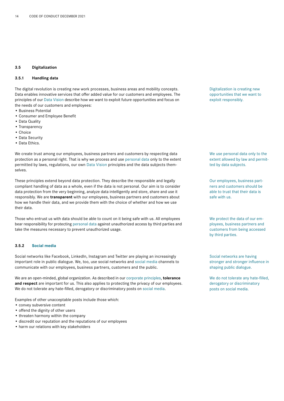# **3.5 Digitalization**

# **3.5.1 Handling data**

The digital revolution is creating new work processes, business areas and mobility concepts. Data enables innovative services that offer added value for our customers and employees. The principles of our Data Vision describe how we want to exploit future opportunities and focus on the needs of our customers and employees:

- Business Potential
- Consumer and Employee Benefit
- Data Quality
- Transparency
- Choice
- Data Security
- Data Ethics.

We create trust among our employees, business partners and customers by respecting data protection as a personal right. That is why we process and use personal data only to the extent permitted by laws, regulations, our own Data Vision principles and the data subjects themselves.

These principles extend beyond data protection. They describe the responsible and legally compliant handling of data as a whole, even if the data is not personal. Our aim is to consider data protection from the very beginning, analyze data intelligently and store, share and use it responsibly. We are **transparent** with our employees, business partners and customers about how we handle their data, and we provide them with the choice of whether and how we use their data.

Those who entrust us with data should be able to count on it being safe with us. All employees bear responsibility for protecting personal data against unauthorized access by third parties and take the measures necessary to prevent unauthorized usage.

### **3.5.2 Social media**

Social networks like Facebook, LinkedIn, Instagram and Twitter are playing an increasingly important role in public dialogue. We, too, use social networks and social media channels to communicate with our employees, business partners, customers and the public.

We are an open-minded, global organization. As described in our corporate principles, **tolerance and respect** are important for us. This also applies to protecting the privacy of our employees. We do not tolerate any hate-filled, derogatory or discriminatory posts on social media.

Examples of other unacceptable posts include those which:

- convey subversive content
- offend the dignity of other users
- threaten harmony within the company
- discredit our reputation and the reputations of our employees
- harm our relations with key stakeholders

Digitalization is creating new opportunities that we want to exploit responsibly.

We use personal data only to the extent allowed by law and permitted by data subjects.

Our employees, business partners and customers should be able to trust that their data is safe with us.

We protect the data of our employees, business partners and customers from being accessed by third parties.

Social networks are having stronger and stronger influence in shaping public dialogue.

We do not tolerate any hate-filled, derogatory or discriminatory posts on social media.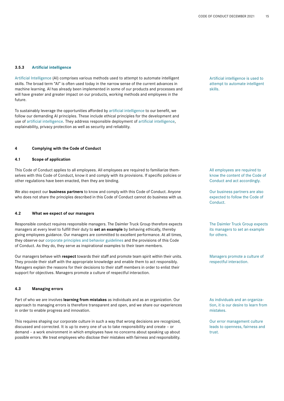# **3.5.3 Artificial intelligence**

Artificial Intelligence (AI) comprises various methods used to attempt to automate intelligent skills. The broad term "AI" is often used today in the narrow sense of the current advances in machine learning. AI has already been implemented in some of our products and processes and will have greater and greater impact on our products, working methods and employees in the future.

To sustainably leverage the opportunities afforded by artificial intelligence to our benefit, we follow our demanding AI principles. These include ethical principles for the development and use of artificial intelligence. They address responsible deployment of artificial intelligence, explainability, privacy protection as well as security and reliability.

# **4 Complying with the Code of Conduct**

# **4.1 Scope of application**

This Code of Conduct applies to all employees. All employees are required to familiarize themselves with this Code of Conduct, know it and comply with its provisions. If specific policies or other regulations have been enacted, then they are binding.

We also expect our **business partners** to know and comply with this Code of Conduct. Anyone who does not share the principles described in this Code of Conduct cannot do business with us.

### **4.2 What we expect of our managers**

Responsible conduct requires responsible managers. The Daimler Truck Group therefore expects managers at every level to fulfill their duty to **set an example** by behaving ethically, thereby giving employees guidance. Our managers are committed to excellent performance. At all times, they observe our corporate principles and behavior guidelines and the provisions of this Code of Conduct. As they do, they serve as inspirational examples to their team members.

Our managers behave with **respect** towards their staff and promote team spirit within their units. They provide their staff with the appropriate knowledge and enable them to act responsibly. Managers explain the reasons for their decisions to their staff members in order to enlist their support for objectives. Managers promote a culture of respectful interaction.

#### **4.3 Managing errors**

Part of who we are involves **learning from mistakes** as individuals and as an organization. Our approach to managing errors is therefore transparent and open, and we share our experiences in order to enable progress and innovation.

This requires shaping our corporate culture in such a way that wrong decisions are recognized, discussed and corrected. It is up to every one of us to take responsibility and create – or demand – a work environment in which employees have no concerns about speaking up about possible errors. We treat employees who disclose their mistakes with fairness and responsibility.

Artificial intelligence is used to attempt to automate intelligent skills.

All employees are required to know the content of the Code of Conduct and act accordingly.

Our business partners are also expected to follow the Code of Conduct.

The Daimler Truck Group expects its managers to set an example for others.

Managers promote a culture of respectful interaction.

As individuals and an organization, it is our desire to learn from mistakes.

Our error management culture leads to openness, fairness and trust.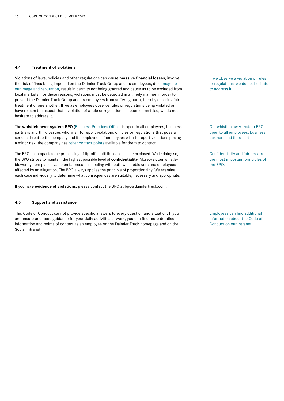# **4.4 Treatment of violations**

Violations of laws, policies and other regulations can cause **massive financial losses**, involve the risk of fines being imposed on the Daimler Truck Group and its employees, do damage to our image and reputation, result in permits not being granted and cause us to be excluded from local markets. For these reasons, violations must be detected in a timely manner in order to prevent the Daimler Truck Group and its employees from suffering harm, thereby ensuring fair treatment of one another. If we as employees observe rules or regulations being violated or have reason to suspect that a violation of a rule or regulation has been committed, we do not hesitate to address it.

The **whistleblower system BPO** (Business Practices Office) is open to all employees, business partners and third parties who wish to report violations of rules or regulations that pose a serious threat to the company and its employees. If employees wish to report violations posing a minor risk, the company has other contact points available for them to contact.

The BPO accompanies the processing of tip-offs until the case has been closed. While doing so, the BPO strives to maintain the highest possible level of **confidentiality**. Moreover, our whistleblower system places value on fairness – in dealing with both whistleblowers and employees affected by an allegation. The BPO always applies the principle of proportionality. We examine each case individually to determine what consequences are suitable, necessary and appropriate.

If you have **evidence of violations**, please contact the BPO at bpo@daimlertruck.com.

# **4.5 Support and assistance**

This Code of Conduct cannot provide specific answers to every question and situation. If you are unsure and need guidance for your daily activities at work, you can find more detailed information and points of contact as an employee on the Daimler Truck homepage and on the Social Intranet.

If we observe a violation of rules or regulations, we do not hesitate to address it.

Our whistleblower system BPO is open to all employees, business partners and third parties.

Confidentiality and fairness are the most important principles of the BPO.

Employees can find additional information about the Code of Conduct on our intranet.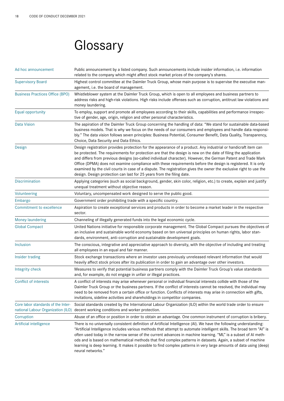# **Glossary**

| Ad hoc announcement                                                      | Public announcement by a listed company. Such announcements include insider information, i.e. information<br>related to the company which might affect stock market prices of the company's shares.                                                                                                                                                                                                                                                                                                                                                                                                                                                               |
|--------------------------------------------------------------------------|-------------------------------------------------------------------------------------------------------------------------------------------------------------------------------------------------------------------------------------------------------------------------------------------------------------------------------------------------------------------------------------------------------------------------------------------------------------------------------------------------------------------------------------------------------------------------------------------------------------------------------------------------------------------|
| <b>Supervisory Board</b>                                                 | Highest control committee at the Daimler Truck Group, whose main purpose is to supervise the executive man-<br>agement, i.e. the board of management.                                                                                                                                                                                                                                                                                                                                                                                                                                                                                                             |
| <b>Business Practices Office (BPO)</b>                                   | Whistleblower system at the Daimler Truck Group, which is open to all employees and business partners to<br>address risks and high-risk violations. High risks include offenses such as corruption, antitrust law violations and<br>money laundering.                                                                                                                                                                                                                                                                                                                                                                                                             |
| Equal opportunity                                                        | To employ, support and promote all employees according to their skills, capabilities and performance irrespec-<br>tive of gender, age, origin, religion and other personal characteristics.                                                                                                                                                                                                                                                                                                                                                                                                                                                                       |
| <b>Data Vision</b>                                                       | The aspiration of the Daimler Truck Group concerning the handling of data: "We stand for sustainable data-based<br>business models. That is why we focus on the needs of our consumers and employees and handle data responsi-<br>bly." The data vision follows seven principles: Business Potential, Consumer Benefit, Data Quality, Transparency,<br>Choice, Data Security and Data Ethics.                                                                                                                                                                                                                                                                     |
| Design                                                                   | Design registration provides protection for the appearance of a product. Any industrial or handicraft item can<br>be protected. The requirements for protection are that the design is new on the date of filing the application<br>and differs from previous designs (so-called individual character). However, the German Patent and Trade Mark<br>Office (DPMA) does not examine compliance with these requirements before the design is registered. It is only<br>examined by the civil courts in case of a dispute. The registration gives the owner the exclusive right to use the<br>design. Design protection can last for 25 years from the filing date. |
| <b>Discrimination</b>                                                    | Applying categories (such as social background, gender, skin color, religion, etc.) to create, explain and justify<br>unequal treatment without objective reason.                                                                                                                                                                                                                                                                                                                                                                                                                                                                                                 |
| Volunteering                                                             | Voluntary, uncompensated work designed to serve the public good.                                                                                                                                                                                                                                                                                                                                                                                                                                                                                                                                                                                                  |
| Embargo                                                                  | Government order prohibiting trade with a specific country.                                                                                                                                                                                                                                                                                                                                                                                                                                                                                                                                                                                                       |
| Commitment to excellence                                                 | Aspiration to create exceptional services and products in order to become a market leader in the respective<br>sector.                                                                                                                                                                                                                                                                                                                                                                                                                                                                                                                                            |
| <b>Money laundering</b>                                                  | Channeling of illegally generated funds into the legal economic cycle.                                                                                                                                                                                                                                                                                                                                                                                                                                                                                                                                                                                            |
| <b>Global Compact</b>                                                    | United Nations initiative for responsible corporate management. The Global Compact pursues the objectives of<br>an inclusive and sustainable world economy based on ten universal principles on human rights, labor stan-<br>dards, environment, anti-corruption and sustainable development goals.                                                                                                                                                                                                                                                                                                                                                               |
| Inclusion                                                                | The conscious, integrative and appreciative approach to diversity, with the objective of including and treating<br>all employees in an equal and fair manner.                                                                                                                                                                                                                                                                                                                                                                                                                                                                                                     |
| Insider trading                                                          | Stock exchange transactions where an investor uses previously unreleased relevant information that would<br>heavily affect stock prices after its publication in order to gain an advantage over other investors.                                                                                                                                                                                                                                                                                                                                                                                                                                                 |
| Integrity check                                                          | Measures to verify that potential business partners comply with the Daimler Truck Group's value standards<br>and, for example, do not engage in unfair or illegal practices.                                                                                                                                                                                                                                                                                                                                                                                                                                                                                      |
| Conflict of interests                                                    | A conflict of interests may arise whenever personal or individual financial interests collide with those of the<br>Daimler Truck Group or the business partners. If the conflict of interests cannot be resolved, the individual may<br>need to be removed from a certain office or function. Conflicts of interests may arise in connection with gifts,<br>invitations, sideline activities and shareholdings in competitor companies.                                                                                                                                                                                                                           |
| Core labor standards of the Inter-<br>national Labour Organization (ILO) | Social standards created by the International Labour Organization (ILO) within the world trade order to ensure<br>decent working conditions and worker protection.                                                                                                                                                                                                                                                                                                                                                                                                                                                                                                |
| Corruption                                                               | Abuse of an office or position in order to obtain an advantage. One common instrument of corruption is bribery.                                                                                                                                                                                                                                                                                                                                                                                                                                                                                                                                                   |
| Artificial intelligence                                                  | There is no universally consistent definition of Artificial Intelligence (AI). We have the following understanding:<br>"Artificial Intelligence includes various methods that attempt to automate intelligent skills. The broad term "Al" is<br>often used today in the narrow sense of the current advances in machine learning. "ML" is a subset of Al meth-<br>ods and is based on mathematical methods that find complex patterns in datasets. Again, a subset of machine<br>learning is deep learning. It makes it possible to find complex patterns in very large amounts of data using (deep)<br>neural networks."                                         |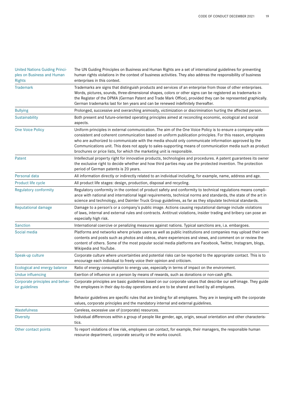| <b>United Nations Guiding Princi-</b><br>ples on Business and Human<br><b>Rights</b> | The UN Guiding Principles on Business and Human Rights are a set of international guidelines for preventing<br>human rights violations in the context of business activities. They also address the responsibility of business<br>enterprises in this context.                                                                                                                                                                                                                                                        |
|--------------------------------------------------------------------------------------|-----------------------------------------------------------------------------------------------------------------------------------------------------------------------------------------------------------------------------------------------------------------------------------------------------------------------------------------------------------------------------------------------------------------------------------------------------------------------------------------------------------------------|
| <b>Trademark</b>                                                                     | Trademarks are signs that distinguish products and services of an enterprise from those of other enterprises.<br>Words, pictures, sounds, three-dimensional shapes, colors or other signs can be registered as trademarks in<br>the Register of the DPMA (German Patent and Trade Mark Office), provided they can be represented graphically.<br>German trademarks last for ten years and can be renewed indefinitely thereafter.                                                                                     |
| <b>Bullying</b>                                                                      | Prolonged, successive and overarching animosity, victimization or discrimination hurting the affected person.                                                                                                                                                                                                                                                                                                                                                                                                         |
| Sustainability                                                                       | Both present and future-oriented operating principles aimed at reconciling economic, ecological and social<br>aspects.                                                                                                                                                                                                                                                                                                                                                                                                |
| <b>One Voice Policy</b>                                                              | Uniform principles in external communication. The aim of the One Voice Policy is to ensure a company-wide<br>consistent and coherent communication based on uniform publication principles. For this reason, employees<br>who are authorized to communicate with the media should only communicate information approved by the<br>Communications unit. This does not apply to sales-supporting means of communication media such as product<br>brochures or price lists, for which the marketing unit is responsible. |
| Patent                                                                               | Intellectual property right for innovative products, technologies and procedures. A patent guarantees its owner<br>the exclusive right to decide whether and how third parties may use the protected invention. The protection<br>period of German patents is 20 years.                                                                                                                                                                                                                                               |
| Personal data                                                                        | All information directly or indirectly related to an individual including, for example, name, address and age.                                                                                                                                                                                                                                                                                                                                                                                                        |
| Product life cycle                                                                   | All product life stages: design, production, disposal and recycling.                                                                                                                                                                                                                                                                                                                                                                                                                                                  |
| <b>Regulatory conformity</b>                                                         | Regulatory conformity in the context of product safety and conformity to technical regulations means compli-<br>ance with national and international legal requirements, technical norms and standards, the state of the art in<br>science and technology, and Daimler Truck Group guidelines, as far as they stipulate technical standards.                                                                                                                                                                          |
| <b>Reputational damage</b>                                                           | Damage to a person's or a company's public image. Actions causing reputational damage include violations<br>of laws, internal and external rules and contracts. Antitrust violations, insider trading and bribery can pose an<br>especially high risk.                                                                                                                                                                                                                                                                |
| <b>Sanction</b>                                                                      | International coercive or penalizing measures against nations. Typical sanctions are, i.a. embargoes.                                                                                                                                                                                                                                                                                                                                                                                                                 |
| Social media                                                                         | Platforms and networks where private users as well as public institutions and companies may upload their own<br>contents and posts such as photos and videos, share experiences and views, and comment on or review the<br>content of others. Some of the most popular social media platforms are Facebook, Twitter, Instagram, blogs,<br>Wikipedia and YouTube.                                                                                                                                                      |
| Speak-up culture                                                                     | Corporate culture where uncertainties and potential risks can be reported to the appropriate contact. This is to<br>encourage each individual to freely voice their opinion and criticism.                                                                                                                                                                                                                                                                                                                            |
| Ecological and energy balance                                                        | Ratio of energy consumption to energy use, especially in terms of impact on the environment.                                                                                                                                                                                                                                                                                                                                                                                                                          |
| Undue influencing                                                                    | Exertion of influence on a person by means of rewards, such as donations or non-cash gifts.                                                                                                                                                                                                                                                                                                                                                                                                                           |
| ior guidelines                                                                       | Corporate principles and behav- Corporate principles are basic guidelines based on our corporate values that describe our self-image. They guide<br>the employees in their day-to-day operations and are to be shared and lived by all employees.                                                                                                                                                                                                                                                                     |
|                                                                                      | Behavior guidelines are specific rules that are binding for all employees. They are in keeping with the corporate<br>values, corporate principles and the mandatory internal and external guidelines.                                                                                                                                                                                                                                                                                                                 |
| Wastefulness                                                                         | Careless, excessive use of (corporate) resources.                                                                                                                                                                                                                                                                                                                                                                                                                                                                     |
| <b>Diversity</b>                                                                     | Individual differences within a group of people like gender, age, origin, sexual orientation and other characteris-<br>tics.                                                                                                                                                                                                                                                                                                                                                                                          |
| Other contact points                                                                 | To report violations of low risk, employees can contact, for example, their managers, the responsible human<br>resource department, corporate security or the works council.                                                                                                                                                                                                                                                                                                                                          |